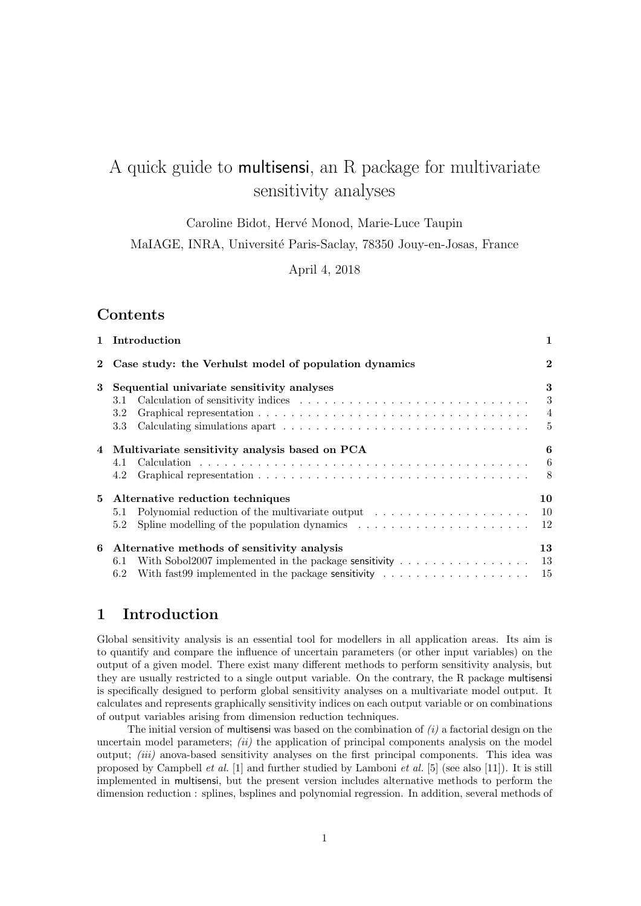# A quick guide to multisensi, an R package for multivariate sensitivity analyses

Caroline Bidot, Hervé Monod, Marie-Luce Taupin

MaIAGE, INRA, Université Paris-Saclay, 78350 Jouy-en-Josas, France

April 4, 2018

### Contents

|              | 1 Introduction                                                                                        | 1              |
|--------------|-------------------------------------------------------------------------------------------------------|----------------|
| $\mathbf{2}$ | Case study: the Verhulst model of population dynamics                                                 | $\mathbf{2}$   |
| 3            | Sequential univariate sensitivity analyses                                                            | 3              |
|              | 3.1                                                                                                   | 3              |
|              | 3.2                                                                                                   | $\overline{4}$ |
|              | 3.3                                                                                                   | $\frac{5}{2}$  |
|              | 4 Multivariate sensitivity analysis based on PCA                                                      | 6              |
|              | 4.1                                                                                                   | -6             |
|              | 4.2                                                                                                   | -8             |
|              | 5 Alternative reduction techniques                                                                    | 10             |
|              | 5.1                                                                                                   |                |
|              | 5.2                                                                                                   |                |
|              | 6 Alternative methods of sensitivity analysis                                                         | 13             |
|              | With Sobol2007 implemented in the package sensitivity $\dots \dots \dots \dots \dots$<br>6.1          | - 13           |
|              | With fast99 implemented in the package sensitivity $\ldots \ldots \ldots \ldots \ldots \ldots$<br>6.2 | 15             |

# 1 Introduction

Global sensitivity analysis is an essential tool for modellers in all application areas. Its aim is to quantify and compare the influence of uncertain parameters (or other input variables) on the output of a given model. There exist many different methods to perform sensitivity analysis, but they are usually restricted to a single output variable. On the contrary, the R package multisensi is specifically designed to perform global sensitivity analyses on a multivariate model output. It calculates and represents graphically sensitivity indices on each output variable or on combinations of output variables arising from dimension reduction techniques.

The initial version of multisensi was based on the combination of  $(i)$  a factorial design on the uncertain model parameters;  $(ii)$  the application of principal components analysis on the model output: *(iii)* anova-based sensitivity analyses on the first principal components. This idea was proposed by Campbell et al. [1] and further studied by Lamboni et al. [5] (see also [11]). It is still implemented in multisensi, but the present version includes alternative methods to perform the dimension reduction : splines, bsplines and polynomial regression. In addition, several methods of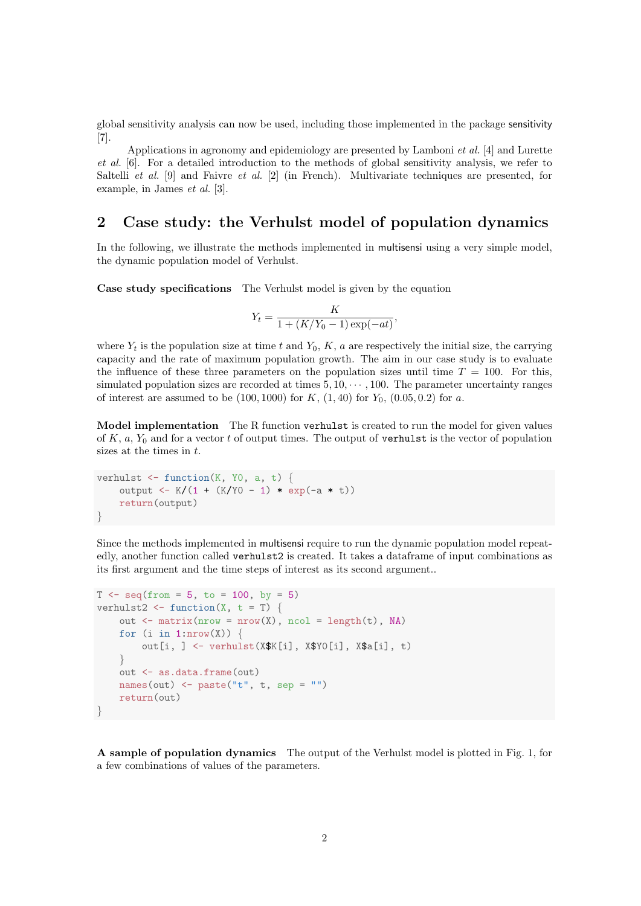global sensitivity analysis can now be used, including those implemented in the package sensitivity [7].

Applications in agronomy and epidemiology are presented by Lamboni *et al.* [4] and Lurette et al. [6]. For a detailed introduction to the methods of global sensitivity analysis, we refer to Saltelli *et al.* [9] and Faivre *et al.* [2] (in French). Multivariate techniques are presented, for example, in James et al. [3].

## 2 Case study: the Verhulst model of population dynamics

In the following, we illustrate the methods implemented in multisensi using a very simple model, the dynamic population model of Verhulst.

Case study specifications The Verhulst model is given by the equation

$$
Y_t = \frac{K}{1 + (K/Y_0 - 1)\exp(-at)},
$$

where  $Y_t$  is the population size at time t and  $Y_0$ , K, a are respectively the initial size, the carrying capacity and the rate of maximum population growth. The aim in our case study is to evaluate the influence of these three parameters on the population sizes until time  $T = 100$ . For this, simulated population sizes are recorded at times  $5, 10, \dots, 100$ . The parameter uncertainty ranges of interest are assumed to be  $(100, 1000)$  for K,  $(1, 40)$  for  $Y_0$ ,  $(0.05, 0.2)$  for a.

Model implementation The R function verhulst is created to run the model for given values of  $K, a, Y_0$  and for a vector t of output times. The output of verhulst is the vector of population sizes at the times in  $t$ .

```
verhulst \leq function(K, Y0, a, t) {
    output <- K/(1 + (K/Y0 - 1) * exp(-a * t))
    return(output)
}
```
Since the methods implemented in multisensi require to run the dynamic population model repeatedly, another function called verhulst2 is created. It takes a dataframe of input combinations as its first argument and the time steps of interest as its second argument..

```
T \leftarrow \text{seq}(\text{from} = 5, \text{ to } = 100, \text{ by } = 5)verhulst2 \leftarrow function(X, t = T) {
     out \leq matrix(nrow = nrow(X), ncol = length(t), NA)
     for (i in 1:nrow(X)) {
          out[i, ] \leftarrow verhulst(X$K[i], X$Y0[i], X$a[i], t)}
     out <- as.data.frame(out)
    names(out) \leftarrow paste("t", t, sep = "")
     return(out)
}
```
A sample of population dynamics The output of the Verhulst model is plotted in Fig. 1, for a few combinations of values of the parameters.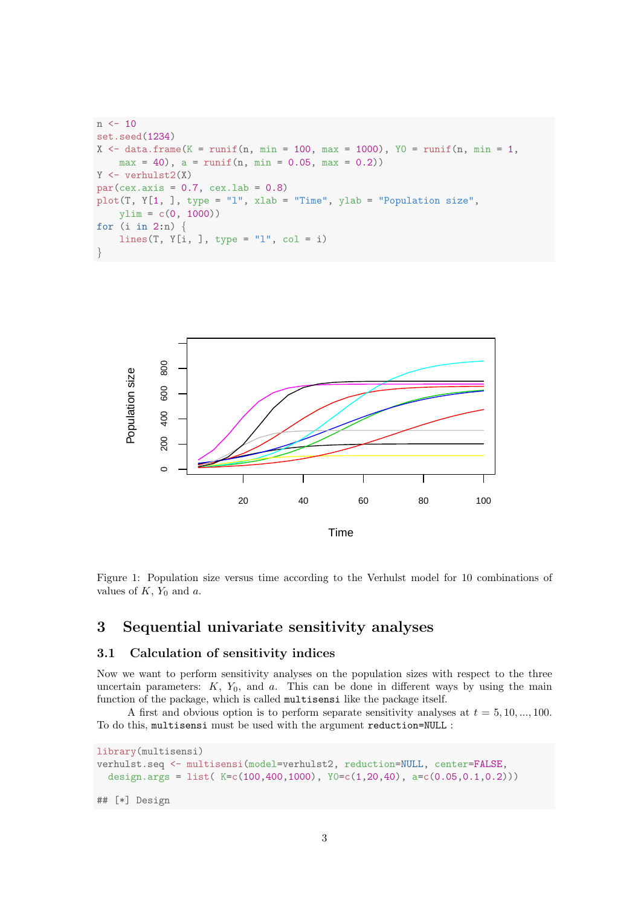```
n \le -10set.seed(1234)
X \leftarrow \text{data-frame}(K = \text{runif}(n, \text{min} = 100, \text{max} = 1000), \text{YO} = \text{runif}(n, \text{min} = 1,max = 40, a = runif(n, min = 0.05, max = 0.2)Y \leftarrow \text{verhulst2}(X)par(cex.axis = 0.7, cex.lab = 0.8)plot(T, Y[1, ], type = "l", xlab = "Time", ylab = "Population size",
    ylim = c(0, 1000)for (i in 2:n) {
    lines(T, Y[i, ], type = "l", col = i)
}
```


Figure 1: Population size versus time according to the Verhulst model for 10 combinations of values of  $K$ ,  $Y_0$  and  $a$ .

### 3 Sequential univariate sensitivity analyses

#### 3.1 Calculation of sensitivity indices

Now we want to perform sensitivity analyses on the population sizes with respect to the three uncertain parameters:  $K$ ,  $Y_0$ , and  $a$ . This can be done in different ways by using the main function of the package, which is called multisensi like the package itself.

A first and obvious option is to perform separate sensitivity analyses at  $t = 5, 10, ..., 100$ . To do this, multisensi must be used with the argument reduction=NULL :

```
library(multisensi)
verhulst.seq <- multisensi(model=verhulst2, reduction=NULL, center=FALSE,
  design.args = list(K=c(100,400,1000), Y0=c(1,20,40), a=c(0.05,0.1,0.2)))
```
## [\*] Design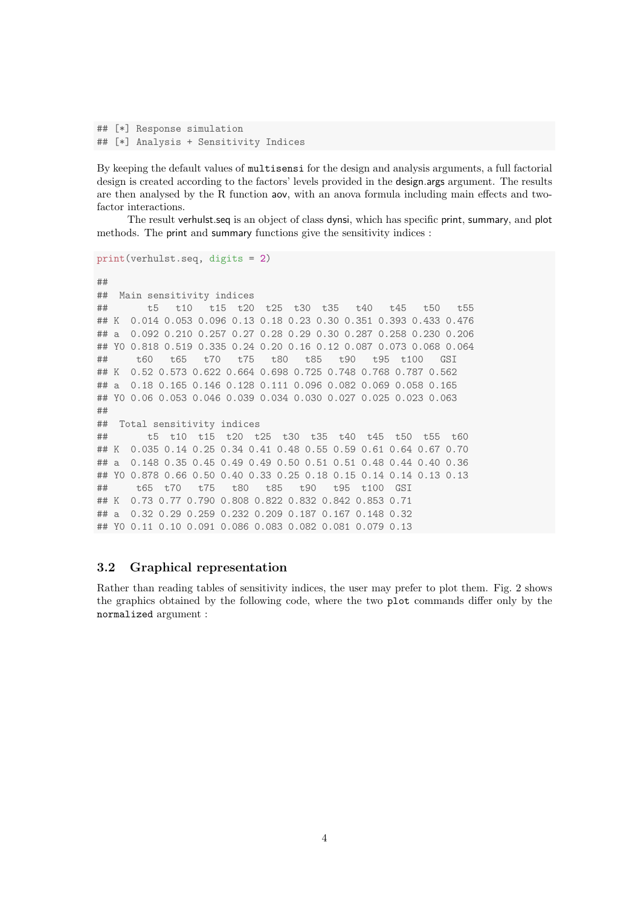```
## [*] Response simulation
## [*] Analysis + Sensitivity Indices
```
By keeping the default values of multisensi for the design and analysis arguments, a full factorial design is created according to the factors' levels provided in the design.args argument. The results are then analysed by the R function aov, with an anova formula including main effects and twofactor interactions.

The result verhulst.seq is an object of class dynsi, which has specific print, summary, and plot methods. The print and summary functions give the sensitivity indices :

```
print(verhulst.seq, digits = 2)
##
## Main sensitivity indices
## t5 t10 t15 t20 t25 t30 t35 t40 t45 t50 t55
## K 0.014 0.053 0.096 0.13 0.18 0.23 0.30 0.351 0.393 0.433 0.476
## a 0.092 0.210 0.257 0.27 0.28 0.29 0.30 0.287 0.258 0.230 0.206
## Y0 0.818 0.519 0.335 0.24 0.20 0.16 0.12 0.087 0.073 0.068 0.064
## t60 t65 t70 t75 t80 t85 t90 t95 t100 GSI
## K 0.52 0.573 0.622 0.664 0.698 0.725 0.748 0.768 0.787 0.562
## a 0.18 0.165 0.146 0.128 0.111 0.096 0.082 0.069 0.058 0.165
## Y0 0.06 0.053 0.046 0.039 0.034 0.030 0.027 0.025 0.023 0.063
##
## Total sensitivity indices
       t5 t10 t15 t20 t25 t30 t35 t40 t45 t50 t55 t60
## K 0.035 0.14 0.25 0.34 0.41 0.48 0.55 0.59 0.61 0.64 0.67 0.70
## a 0.148 0.35 0.45 0.49 0.49 0.50 0.51 0.51 0.48 0.44 0.40 0.36
## Y0 0.878 0.66 0.50 0.40 0.33 0.25 0.18 0.15 0.14 0.14 0.13 0.13
## t65 t70 t75 t80 t85 t90 t95 t100 GSI
## K 0.73 0.77 0.790 0.808 0.822 0.832 0.842 0.853 0.71
## a 0.32 0.29 0.259 0.232 0.209 0.187 0.167 0.148 0.32
## Y0 0.11 0.10 0.091 0.086 0.083 0.082 0.081 0.079 0.13
```
#### 3.2 Graphical representation

Rather than reading tables of sensitivity indices, the user may prefer to plot them. Fig. 2 shows the graphics obtained by the following code, where the two plot commands differ only by the normalized argument :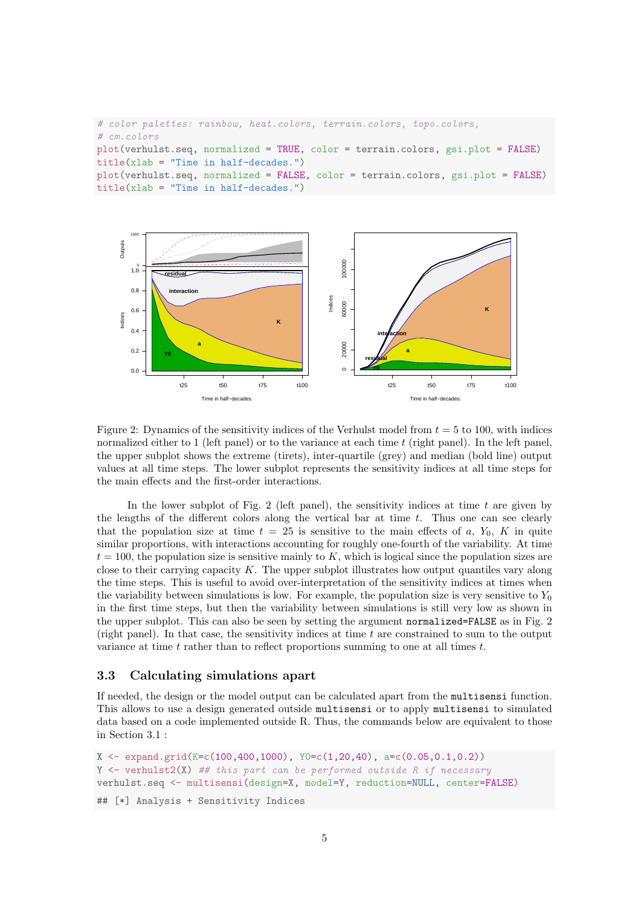```
# color palettes: rainbow, heat.colors, terrain.colors, topo.colors,
# cm.colors
plot(verhulst.seq, normalized = TRUE, color = terrain.colors, gsi.plot = FALSE)
title(xlab = "Time in half-decades.")plot(verhulst.seq, normalized = FALSE, color = terrain.colors, gsi.plot = FALSE)
title(xlab = "Time in half-decades.")
```


Figure 2: Dynamics of the sensitivity indices of the Verhulst model from  $t = 5$  to 100, with indices normalized either to 1 (left panel) or to the variance at each time  $t$  (right panel). In the left panel, the upper subplot shows the extreme (tirets), inter-quartile (grey) and median (bold line) output values at all time steps. The lower subplot represents the sensitivity indices at all time steps for the main effects and the first-order interactions.

In the lower subplot of Fig. 2 (left panel), the sensitivity indices at time  $t$  are given by the lengths of the different colors along the vertical bar at time t. Thus one can see clearly that the population size at time  $t = 25$  is sensitive to the main effects of a,  $Y_0$ , K in quite similar proportions, with interactions accounting for roughly one-fourth of the variability. At time  $t = 100$ , the population size is sensitive mainly to K, which is logical since the population sizes are close to their carrying capacity K. The upper subplot illustrates how output quantiles vary along the time steps. This is useful to avoid over-interpretation of the sensitivity indices at times when the variability between simulations is low. For example, the population size is very sensitive to  $Y_0$ in the first time steps, but then the variability between simulations is still very low as shown in the upper subplot. This can also be seen by setting the argument normalized=FALSE as in Fig. 2 (right panel). In that case, the sensitivity indices at time  $t$  are constrained to sum to the output variance at time t rather than to reflect proportions summing to one at all times  $t$ .

#### 3.3 Calculating simulations apart

If needed, the design or the model output can be calculated apart from the multisensi function. This allows to use a design generated outside multisensi or to apply multisensi to simulated data based on a code implemented outside R. Thus, the commands below are equivalent to those in Section 3.1 :

```
X \leftarrow \text{expand.grid}(K=c(100,400,1000), Y0=c(1,20,40), a=c(0.05,0.1,0.2))Y \leftarrow verhulst2(X) ## this part can be performed outside R if necessary
verhulst.seq <- multisensi(design=X, model=Y, reduction=NULL, center=FALSE)
```

```
## [*] Analysis + Sensitivity Indices
```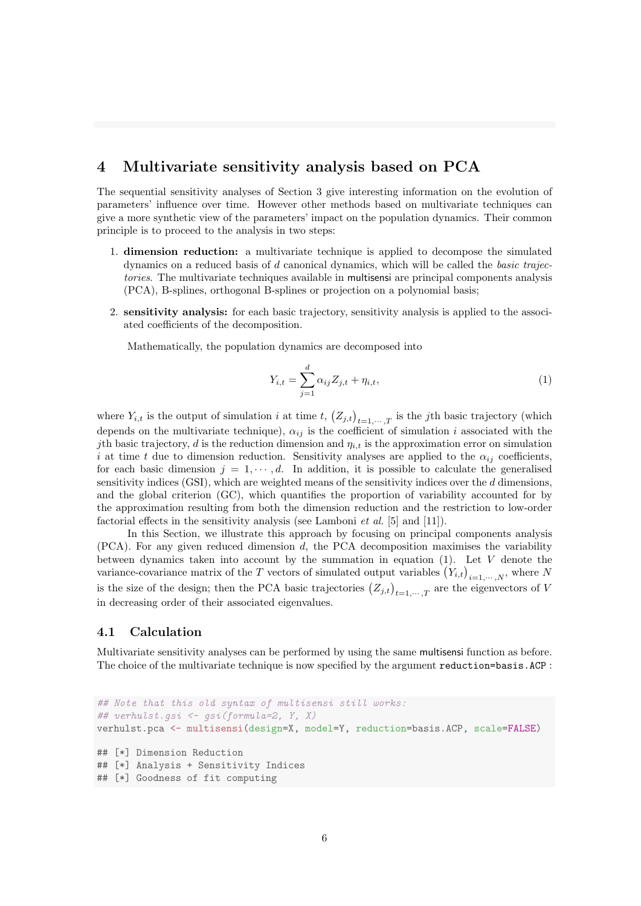## 4 Multivariate sensitivity analysis based on PCA

The sequential sensitivity analyses of Section 3 give interesting information on the evolution of parameters' influence over time. However other methods based on multivariate techniques can give a more synthetic view of the parameters' impact on the population dynamics. Their common principle is to proceed to the analysis in two steps:

- 1. dimension reduction: a multivariate technique is applied to decompose the simulated dynamics on a reduced basis of  $d$  canonical dynamics, which will be called the *basic trajec*tories. The multivariate techniques available in multisensi are principal components analysis (PCA), B-splines, orthogonal B-splines or projection on a polynomial basis;
- 2. sensitivity analysis: for each basic trajectory, sensitivity analysis is applied to the associated coefficients of the decomposition.

Mathematically, the population dynamics are decomposed into

$$
Y_{i,t} = \sum_{j=1}^{d} \alpha_{ij} Z_{j,t} + \eta_{i,t},
$$
\n(1)

where  $Y_{i,t}$  is the output of simulation i at time t,  $(Z_{j,t})_{t=1,\dots,T}$  is the jth basic trajectory (which depends on the multivariate technique),  $\alpha_{ij}$  is the coefficient of simulation i associated with the *j*th basic trajectory, d is the reduction dimension and  $\eta_{i,t}$  is the approximation error on simulation i at time t due to dimension reduction. Sensitivity analyses are applied to the  $\alpha_{ij}$  coefficients, for each basic dimension  $j = 1, \dots, d$ . In addition, it is possible to calculate the generalised sensitivity indices  $(GSI)$ , which are weighted means of the sensitivity indices over the  $d$  dimensions, and the global criterion (GC), which quantifies the proportion of variability accounted for by the approximation resulting from both the dimension reduction and the restriction to low-order factorial effects in the sensitivity analysis (see Lamboni *et al.* [5] and [11]).

In this Section, we illustrate this approach by focusing on principal components analysis (PCA). For any given reduced dimension d, the PCA decomposition maximises the variability between dynamics taken into account by the summation in equation  $(1)$ . Let V denote the variance-covariance matrix of the T vectors of simulated output variables  $(Y_{i,t})_{i=1,\dots,N}$ , where N is the size of the design; then the PCA basic trajectories  $(Z_{j,t})_{t=1,\dots,T}$  are the eigenvectors of V in decreasing order of their associated eigenvalues.

### 4.1 Calculation

Multivariate sensitivity analyses can be performed by using the same multisensi function as before. The choice of the multivariate technique is now specified by the argument reduction=basis.ACP :

```
## Note that this old syntax of multisensi still works:
## verhulst.gsi \leq gsi(formula=2, Y, X)
verhulst.pca <- multisensi(design=X, model=Y, reduction=basis.ACP, scale=FALSE)
## [*] Dimension Reduction
## [*] Analysis + Sensitivity Indices
## [*] Goodness of fit computing
```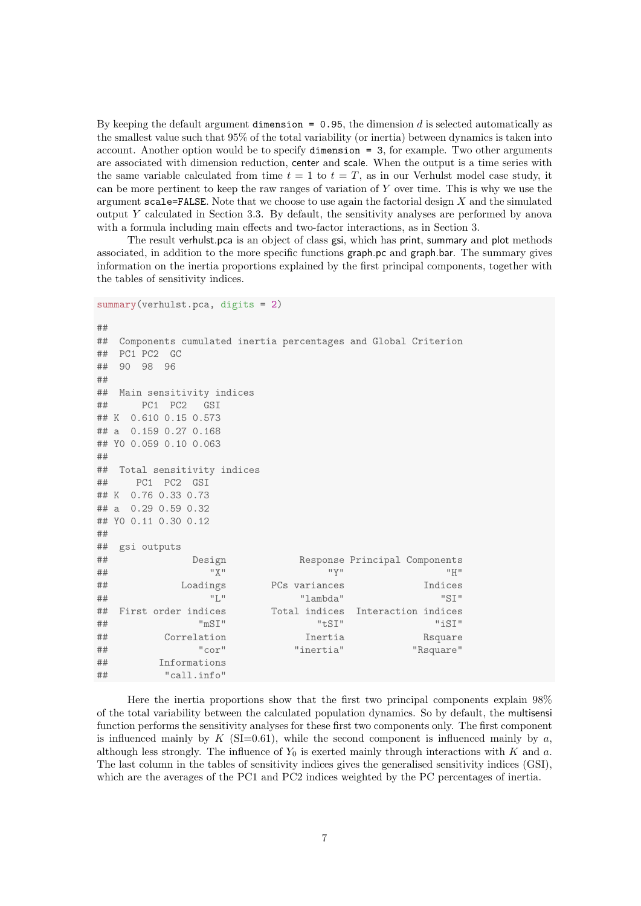By keeping the default argument dimension  $= 0.95$ , the dimension d is selected automatically as the smallest value such that 95% of the total variability (or inertia) between dynamics is taken into account. Another option would be to specify dimension = 3, for example. Two other arguments are associated with dimension reduction, center and scale. When the output is a time series with the same variable calculated from time  $t = 1$  to  $t = T$ , as in our Verhulst model case study, it can be more pertinent to keep the raw ranges of variation of Y over time. This is why we use the argument scale=FALSE. Note that we choose to use again the factorial design  $X$  and the simulated output Y calculated in Section 3.3. By default, the sensitivity analyses are performed by anova with a formula including main effects and two-factor interactions, as in Section 3.

The result verhulst.pca is an object of class gsi, which has print, summary and plot methods associated, in addition to the more specific functions graph.pc and graph.bar. The summary gives information on the inertia proportions explained by the first principal components, together with the tables of sensitivity indices.

```
summary(verhulst.pca, digits = 2)
##
## Components cumulated inertia percentages and Global Criterion
## PC1 PC2 GC
## 90 98 96
##
## Main sensitivity indices
## PC1 PC2 GSI
## K 0.610 0.15 0.573
## a 0.159 0.27 0.168
## Y0 0.059 0.10 0.063
##
## Total sensitivity indices
## PC1 PC2 GSI
## K 0.76 0.33 0.73
## a 0.29 0.59 0.32
## Y0 0.11 0.30 0.12
##
## gsi outputs
## Design Response Principal Components
## "X" "Y" "H"
## Loadings PCs variances Indices
## "L" "lambda" "SI"
## First order indices Total indices Interaction indices
## "mSI" "tSI" "iSI"
## Correlation Inertia Rsquare
## "cor" "inertia" "Rsquare"
## Informations
## "call.info"
```
Here the inertia proportions show that the first two principal components explain 98% of the total variability between the calculated population dynamics. So by default, the multisensi function performs the sensitivity analyses for these first two components only. The first component is influenced mainly by  $K$  (SI=0.61), while the second component is influenced mainly by  $a$ , although less strongly. The influence of  $Y_0$  is exerted mainly through interactions with K and a. The last column in the tables of sensitivity indices gives the generalised sensitivity indices (GSI), which are the averages of the PC1 and PC2 indices weighted by the PC percentages of inertia.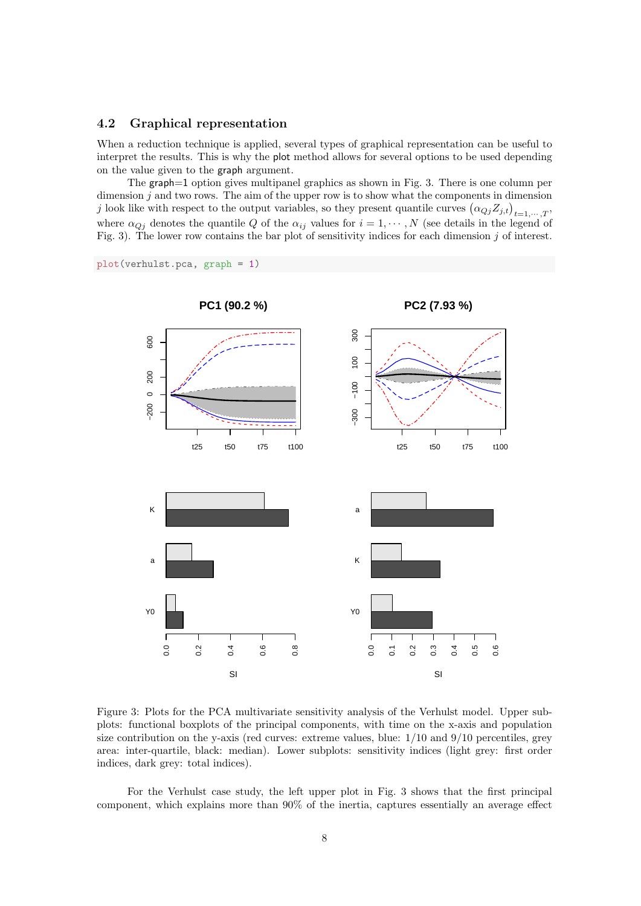#### 4.2 Graphical representation

When a reduction technique is applied, several types of graphical representation can be useful to interpret the results. This is why the plot method allows for several options to be used depending on the value given to the graph argument.

The graph=1 option gives multipanel graphics as shown in Fig. 3. There is one column per dimension  $j$  and two rows. The aim of the upper row is to show what the components in dimension j look like with respect to the output variables, so they present quantile curves  $(\alpha_{Qj}Z_{j,t})_{t=1,\cdots,T}$ , where  $\alpha_{Qj}$  denotes the quantile Q of the  $\alpha_{ij}$  values for  $i = 1, \dots, N$  (see details in the legend of Fig. 3). The lower row contains the bar plot of sensitivity indices for each dimension  $j$  of interest.

plot(verhulst.pca, graph = 1)



Figure 3: Plots for the PCA multivariate sensitivity analysis of the Verhulst model. Upper subplots: functional boxplots of the principal components, with time on the x-axis and population size contribution on the y-axis (red curves: extreme values, blue:  $1/10$  and  $9/10$  percentiles, grey area: inter-quartile, black: median). Lower subplots: sensitivity indices (light grey: first order indices, dark grey: total indices).

For the Verhulst case study, the left upper plot in Fig. 3 shows that the first principal component, which explains more than 90% of the inertia, captures essentially an average effect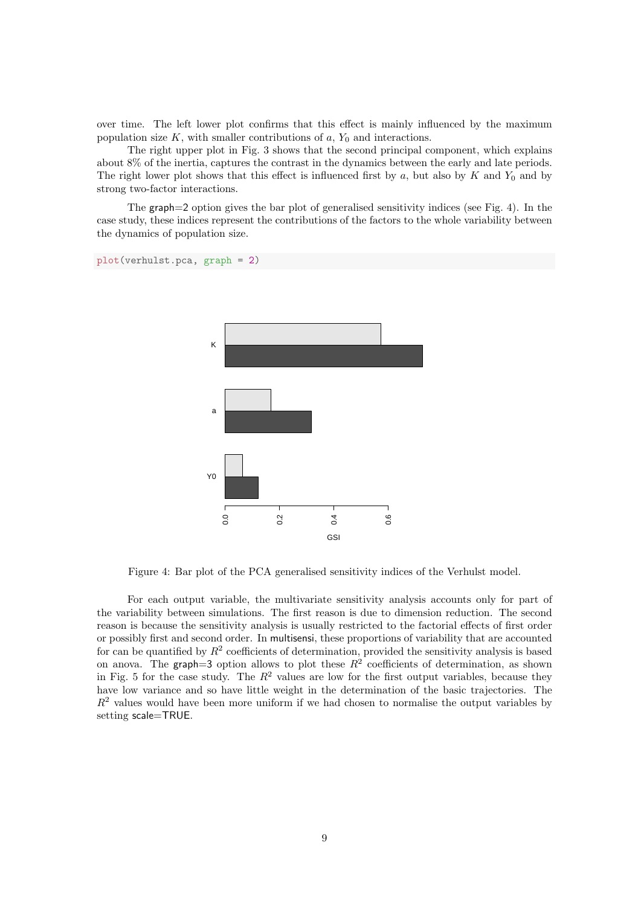over time. The left lower plot confirms that this effect is mainly influenced by the maximum population size K, with smaller contributions of  $a, Y_0$  and interactions.

The right upper plot in Fig. 3 shows that the second principal component, which explains about 8% of the inertia, captures the contrast in the dynamics between the early and late periods. The right lower plot shows that this effect is influenced first by  $a$ , but also by  $K$  and  $Y_0$  and by strong two-factor interactions.

The graph=2 option gives the bar plot of generalised sensitivity indices (see Fig. 4). In the case study, these indices represent the contributions of the factors to the whole variability between the dynamics of population size.

```
plot(verhulst.pca, graph = 2)
```


Figure 4: Bar plot of the PCA generalised sensitivity indices of the Verhulst model.

For each output variable, the multivariate sensitivity analysis accounts only for part of the variability between simulations. The first reason is due to dimension reduction. The second reason is because the sensitivity analysis is usually restricted to the factorial effects of first order or possibly first and second order. In multisensi, these proportions of variability that are accounted for can be quantified by  $R^2$  coefficients of determination, provided the sensitivity analysis is based on anova. The graph=3 option allows to plot these  $R^2$  coefficients of determination, as shown in Fig. 5 for the case study. The  $R^2$  values are low for the first output variables, because they have low variance and so have little weight in the determination of the basic trajectories. The  $R<sup>2</sup>$  values would have been more uniform if we had chosen to normalise the output variables by setting scale=TRUE.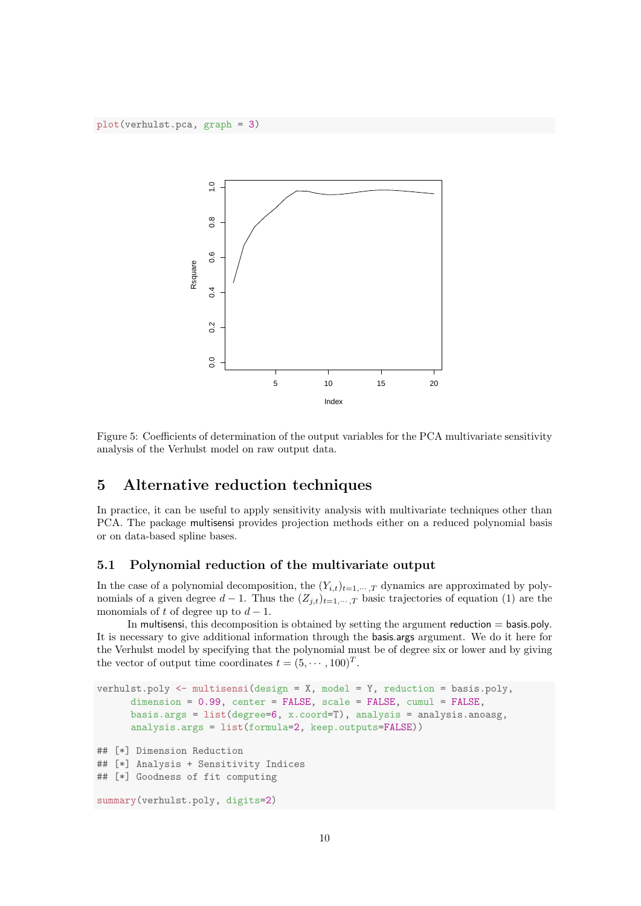

Figure 5: Coefficients of determination of the output variables for the PCA multivariate sensitivity analysis of the Verhulst model on raw output data.

### 5 Alternative reduction techniques

In practice, it can be useful to apply sensitivity analysis with multivariate techniques other than PCA. The package multisensi provides projection methods either on a reduced polynomial basis or on data-based spline bases.

#### 5.1 Polynomial reduction of the multivariate output

In the case of a polynomial decomposition, the  $(Y_{i,t})_{t=1,\cdots,T}$  dynamics are approximated by polynomials of a given degree  $d-1$ . Thus the  $(Z_{j,t})_{t=1,\dots,T}$  basic trajectories of equation (1) are the monomials of t of degree up to  $d-1$ .

In multisensi, this decomposition is obtained by setting the argument reduction = basis.poly. It is necessary to give additional information through the basis.args argument. We do it here for the Verhulst model by specifying that the polynomial must be of degree six or lower and by giving the vector of output time coordinates  $t = (5, \dots, 100)^T$ .

```
verhulst.poly <- multisensi(design = X, model = Y, reduction = basis.poly,
      dimension = 0.99, center = FALSE, scale = FALSE, cumul = FALSE,
      basis.args = list(degree=6, x.coord=T), analysis = analysis.anoasg,
      analysis.args = list(formula=2, keep.outputs=FALSE))
## [*] Dimension Reduction
## [*] Analysis + Sensitivity Indices
## [*] Goodness of fit computing
summary(verhulst.poly, digits=2)
```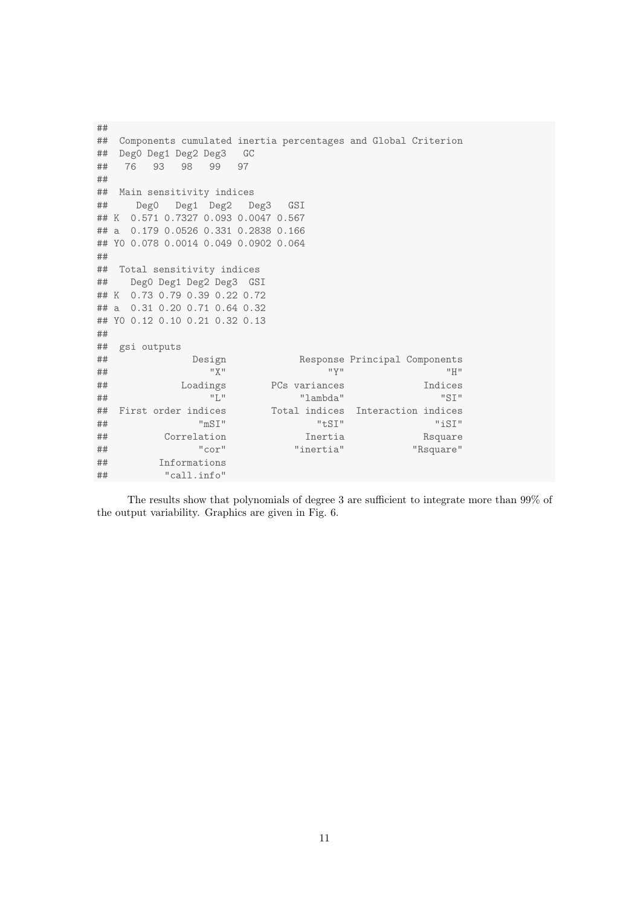```
##
## Components cumulated inertia percentages and Global Criterion
## Deg0 Deg1 Deg2 Deg3 GC
## 76 93 98 99 97
##
## Main sensitivity indices
## Deg0 Deg1 Deg2 Deg3 GSI
## K 0.571 0.7327 0.093 0.0047 0.567
## a 0.179 0.0526 0.331 0.2838 0.166
## Y0 0.078 0.0014 0.049 0.0902 0.064
##
## Total sensitivity indices
## Deg0 Deg1 Deg2 Deg3 GSI
## K 0.73 0.79 0.39 0.22 0.72
## a 0.31 0.20 0.71 0.64 0.32
## Y0 0.12 0.10 0.21 0.32 0.13
##
## gsi outputs
## Design Response Principal Components
## "X" "Y" "H"
## Loadings PCs variances Indices
## "L" "lambda" "SI"
## First order indices Total indices Interaction indices
## "mSI" "tSI" "iSI"
## Correlation Inertia Rsquare
## "cor" "inertia" "Rsquare"
## Informations
## "call.info"
```
The results show that polynomials of degree 3 are sufficient to integrate more than 99% of the output variability. Graphics are given in Fig. 6.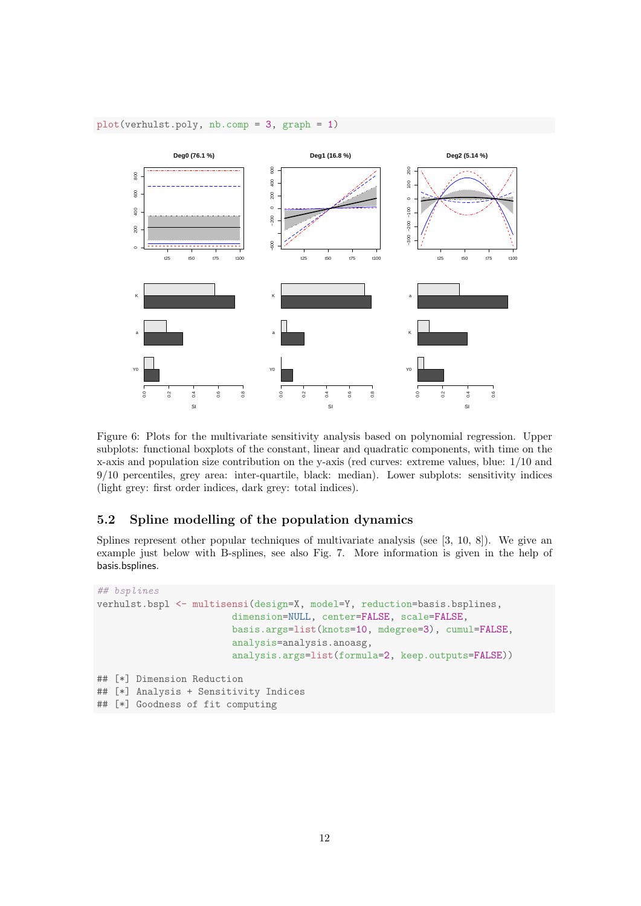#### plot(verhulst.poly, nb.comp = 3, graph = 1)



Figure 6: Plots for the multivariate sensitivity analysis based on polynomial regression. Upper subplots: functional boxplots of the constant, linear and quadratic components, with time on the x-axis and population size contribution on the y-axis (red curves: extreme values, blue: 1/10 and 9/10 percentiles, grey area: inter-quartile, black: median). Lower subplots: sensitivity indices (light grey: first order indices, dark grey: total indices).

#### 5.2 Spline modelling of the population dynamics

Splines represent other popular techniques of multivariate analysis (see [3, 10, 8]). We give an example just below with B-splines, see also Fig. 7. More information is given in the help of basis.bsplines.

```
## bsplines
verhulst.bspl <- multisensi(design=X, model=Y, reduction=basis.bsplines,
                        dimension=NULL, center=FALSE, scale=FALSE,
                        basis.args=list(knots=10, mdegree=3), cumul=FALSE,
                        analysis=analysis.anoasg,
                        analysis.args=list(formula=2, keep.outputs=FALSE))
## [*] Dimension Reduction
## [*] Analysis + Sensitivity Indices
## [*] Goodness of fit computing
```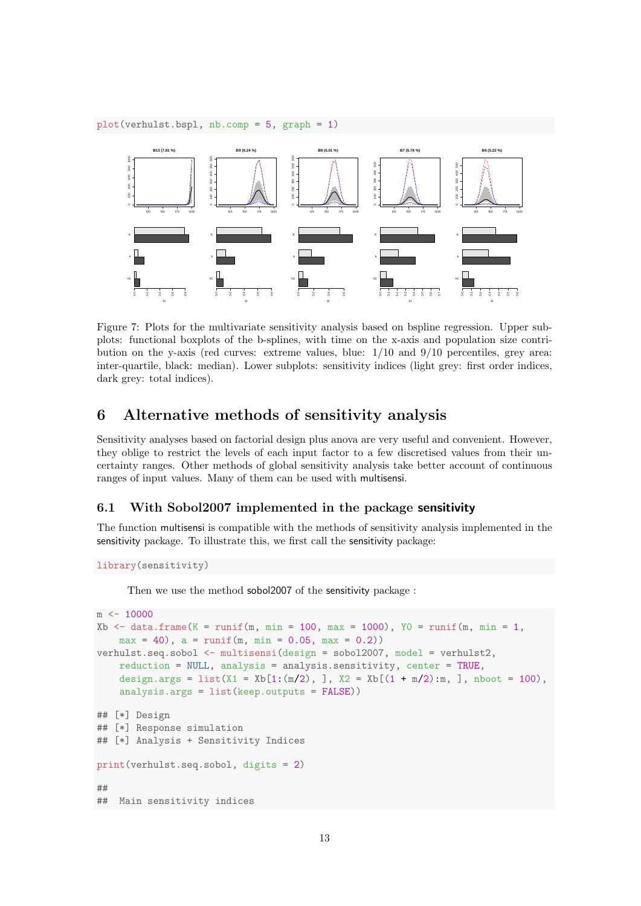plot(verhulst.bspl, nb.comp = 5, graph = 1)



Figure 7: Plots for the multivariate sensitivity analysis based on bspline regression. Upper subplots: functional boxplots of the b-splines, with time on the x-axis and population size contribution on the y-axis (red curves: extreme values, blue:  $1/10$  and  $9/10$  percentiles, grey area: inter-quartile, black: median). Lower subplots: sensitivity indices (light grey: first order indices, dark grey: total indices).

## 6 Alternative methods of sensitivity analysis

Sensitivity analyses based on factorial design plus anova are very useful and convenient. However, they oblige to restrict the levels of each input factor to a few discretised values from their uncertainty ranges. Other methods of global sensitivity analysis take better account of continuous ranges of input values. Many of them can be used with multisensi.

#### 6.1 With Sobol2007 implemented in the package sensitivity

The function multisensi is compatible with the methods of sensitivity analysis implemented in the sensitivity package. To illustrate this, we first call the sensitivity package:

```
library(sensitivity)
```
Then we use the method sobol2007 of the sensitivity package :

```
m <- 10000
Xb \le data.frame(K = runif(m, min = 100, max = 1000), Y0 = runif(m, min = 1,
   max = 40, a = runif(m, min = 0.05, max = 0.2)verhulst.seq.sobol <- multisensi(design = sobol2007, model = verhulst2,
   reduction = NULL, analysis = analysis.sensitivity, center = TRUE,
    design.args = list(X1 = Xb[1:(m/2), ], X2 = Xb[(1 + m/2):m, ], nboot = 100),
    analysis.args = list(keep.outputs = FALSE))
## [*] Design
## [*] Response simulation
## [*] Analysis + Sensitivity Indices
print(verhulst.seq.sobol, digits = 2)
##
## Main sensitivity indices
```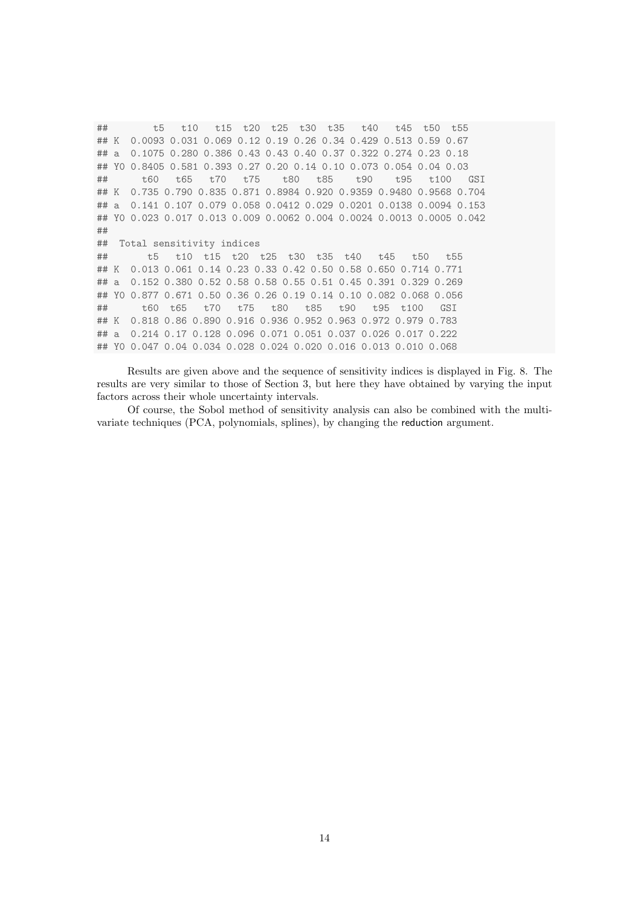## t5 t10 t15 t20 t25 t30 t35 t40 t45 t50 t55 ## K 0.0093 0.031 0.069 0.12 0.19 0.26 0.34 0.429 0.513 0.59 0.67 ## a 0.1075 0.280 0.386 0.43 0.43 0.40 0.37 0.322 0.274 0.23 0.18 ## Y0 0.8405 0.581 0.393 0.27 0.20 0.14 0.10 0.073 0.054 0.04 0.03 ## t60 t65 t70 t75 t80 t85 t90 t95 t100 GSI ## K 0.735 0.790 0.835 0.871 0.8984 0.920 0.9359 0.9480 0.9568 0.704 ## a 0.141 0.107 0.079 0.058 0.0412 0.029 0.0201 0.0138 0.0094 0.153 ## Y0 0.023 0.017 0.013 0.009 0.0062 0.004 0.0024 0.0013 0.0005 0.042 ## ## Total sensitivity indices ## t5 t10 t15 t20 t25 t30 t35 t40 t45 t50 t55 ## K 0.013 0.061 0.14 0.23 0.33 0.42 0.50 0.58 0.650 0.714 0.771 ## a 0.152 0.380 0.52 0.58 0.58 0.55 0.51 0.45 0.391 0.329 0.269 ## Y0 0.877 0.671 0.50 0.36 0.26 0.19 0.14 0.10 0.082 0.068 0.056 ## t60 t65 t70 t75 t80 t85 t90 t95 t100 GSI ## K 0.818 0.86 0.890 0.916 0.936 0.952 0.963 0.972 0.979 0.783 ## a 0.214 0.17 0.128 0.096 0.071 0.051 0.037 0.026 0.017 0.222 ## Y0 0.047 0.04 0.034 0.028 0.024 0.020 0.016 0.013 0.010 0.068

Results are given above and the sequence of sensitivity indices is displayed in Fig. 8. The results are very similar to those of Section 3, but here they have obtained by varying the input factors across their whole uncertainty intervals.

Of course, the Sobol method of sensitivity analysis can also be combined with the multivariate techniques (PCA, polynomials, splines), by changing the reduction argument.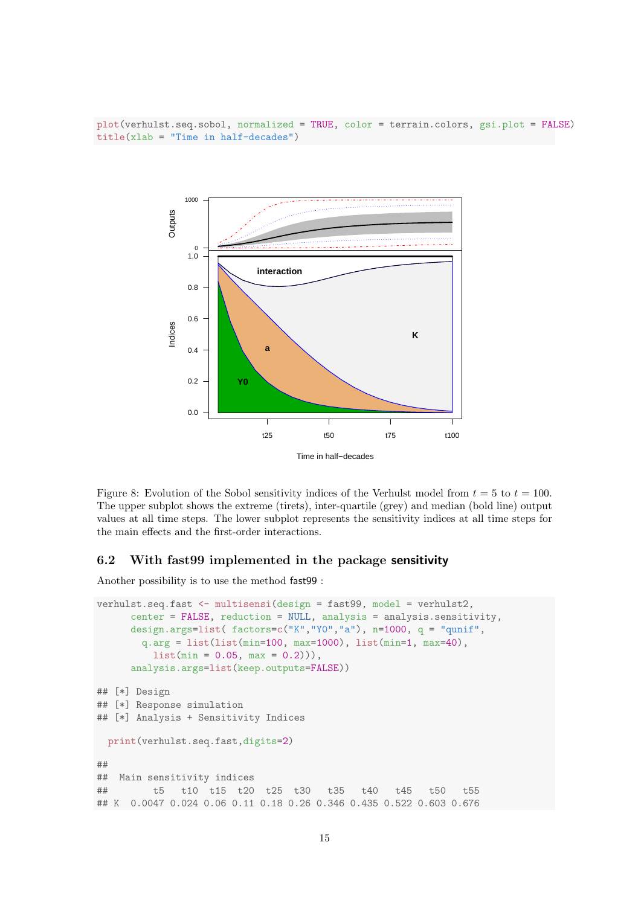plot(verhulst.seq.sobol, normalized = TRUE, color = terrain.colors, gsi.plot = FALSE)  $title(xlab = "Time in half-decades")$ 



Figure 8: Evolution of the Sobol sensitivity indices of the Verhulst model from  $t = 5$  to  $t = 100$ . The upper subplot shows the extreme (tirets), inter-quartile (grey) and median (bold line) output values at all time steps. The lower subplot represents the sensitivity indices at all time steps for the main effects and the first-order interactions.

#### 6.2 With fast99 implemented in the package sensitivity

Another possibility is to use the method fast99 :

```
verhulst.seq.fast <- multisensi(design = fast99, model = verhulst2,
     center = FALSE, reduction = NULL, analysis = analysis.sensitivity,
     design.args=list( factors = c("K", "Y0", "a"), n=1000, q = "qunit",q.argv = list(list(min=100, max=1000), list(min=1, max=40),list(min = 0.05, max = 0.2)).
     analysis.args=list(keep.outputs=FALSE))
## [*] Design
## [*] Response simulation
## [*] Analysis + Sensitivity Indices
 print(verhulst.seq.fast,digits=2)
##
## Main sensitivity indices
## t5 t10 t15 t20 t25 t30 t35 t40 t45 t50 t55
## K 0.0047 0.024 0.06 0.11 0.18 0.26 0.346 0.435 0.522 0.603 0.676
```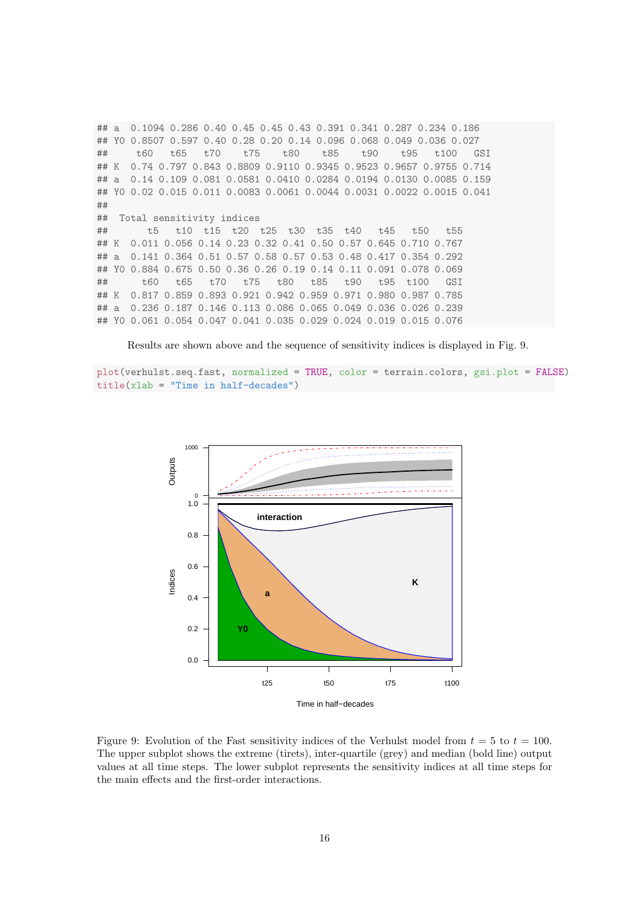## a 0.1094 0.286 0.40 0.45 0.45 0.43 0.391 0.341 0.287 0.234 0.186 ## Y0 0.8507 0.597 0.40 0.28 0.20 0.14 0.096 0.068 0.049 0.036 0.027 ## t60 t65 t70 t75 t80 t85 t90 t95 t100 GSI ## K 0.74 0.797 0.843 0.8809 0.9110 0.9345 0.9523 0.9657 0.9755 0.714 ## a 0.14 0.109 0.081 0.0581 0.0410 0.0284 0.0194 0.0130 0.0085 0.159 ## Y0 0.02 0.015 0.011 0.0083 0.0061 0.0044 0.0031 0.0022 0.0015 0.041 ## ## Total sensitivity indices ## t5 t10 t15 t20 t25 t30 t35 t40 t45 t50 t55 ## K 0.011 0.056 0.14 0.23 0.32 0.41 0.50 0.57 0.645 0.710 0.767 ## a 0.141 0.364 0.51 0.57 0.58 0.57 0.53 0.48 0.417 0.354 0.292 ## Y0 0.884 0.675 0.50 0.36 0.26 0.19 0.14 0.11 0.091 0.078 0.069 ## t60 t65 t70 t75 t80 t85 t90 t95 t100 GSI ## K 0.817 0.859 0.893 0.921 0.942 0.959 0.971 0.980 0.987 0.785 ## a 0.236 0.187 0.146 0.113 0.086 0.065 0.049 0.036 0.026 0.239 ## Y0 0.061 0.054 0.047 0.041 0.035 0.029 0.024 0.019 0.015 0.076

Results are shown above and the sequence of sensitivity indices is displayed in Fig. 9.

plot(verhulst.seq.fast, normalized = TRUE, color = terrain.colors, gsi.plot = FALSE)  $title(xlab = "Time in half-decades")$ 



Figure 9: Evolution of the Fast sensitivity indices of the Verhulst model from  $t = 5$  to  $t = 100$ . The upper subplot shows the extreme (tirets), inter-quartile (grey) and median (bold line) output values at all time steps. The lower subplot represents the sensitivity indices at all time steps for the main effects and the first-order interactions.